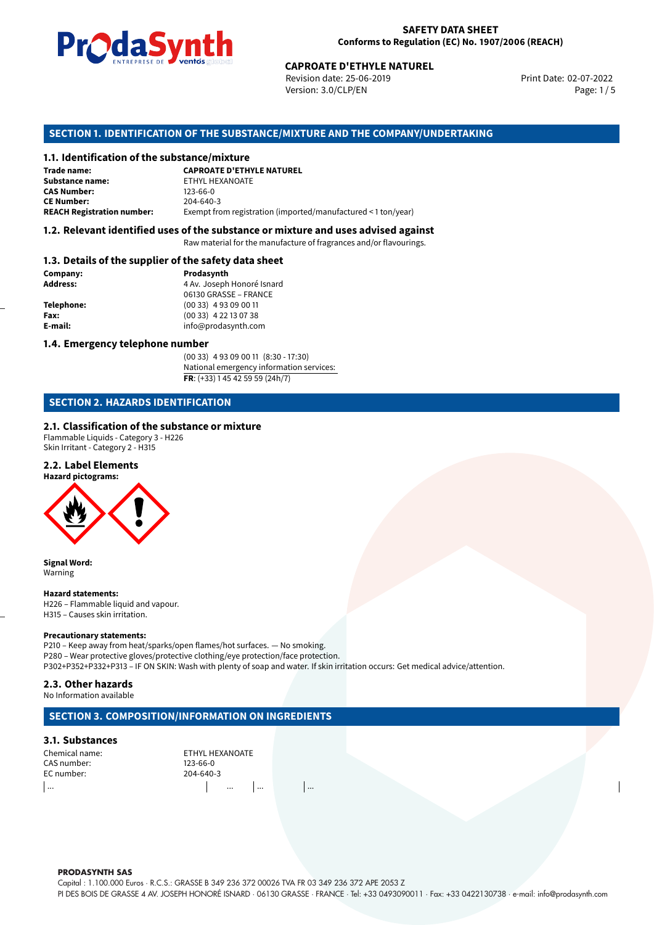

Revision date: 25-06-2019 Version: 3.0/CLP/EN Page: 1 / 5

Print Date: 02-07-2022

### **SECTION 1. IDENTIFICATION OF THE SUBSTANCE/MIXTURE AND THE COMPANY/UNDERTAKING**

# **1.1. Identification of the substance/mixture**

|                                              | LIVING THE DE <b>DE VOINUS</b> SUSSESSI<br><b>CAPROATE D'ETHYLE NATUREL</b><br>Revision date: 25-06-2019<br>Version: 3.0/CLP/EN |
|----------------------------------------------|---------------------------------------------------------------------------------------------------------------------------------|
|                                              | SECTION 1. IDENTIFICATION OF THE SUBSTANCE/MIXTURE AND THE COMPANY/UI                                                           |
| 1.1. Identification of the substance/mixture |                                                                                                                                 |
| Trade name:                                  | <b>CAPROATE D'ETHYLE NATUREL</b>                                                                                                |
| <b>Substance name:</b>                       | ETHYL HEXANOATE                                                                                                                 |
| <b>CAS Number:</b>                           | $123 - 66 - 0$                                                                                                                  |
| <b>CE Number:</b>                            | 204-640-3                                                                                                                       |
| <b>REACH Registration number:</b>            | Exempt from registration (imported/manufactured < 1 ton/year)                                                                   |
|                                              |                                                                                                                                 |

#### **1.2. Relevant identified uses of the substance or mixture and uses advised against**

Raw material for the manufacture of fragrances and/or flavourings.

#### **1.3. Details of the supplier of the safety data sheet**

| Company:          | Prodasynth                 |  |
|-------------------|----------------------------|--|
| <b>Address:</b>   | 4 Av. Joseph Honoré Isnard |  |
|                   | 06130 GRASSE - FRANCE      |  |
| <b>Telephone:</b> | $(0033)$ 4 93 09 00 11     |  |
| Fax:              | $(0033)$ 4 22 13 07 38     |  |
| E-mail:           | info@prodasynth.com        |  |
|                   |                            |  |

#### **1.4. Emergency telephone number**

(00 33) 4 93 09 00 11 (8:30 - 17:30) National emergency information services: **FR**: (+33) 1 45 42 59 59 (24h/7)

# **SECTION 2. HAZARDS IDENTIFICATION**

#### **2.1. Classification of the substance or mixture**

Flammable Liquids - Category 3 - H226 Skin Irritant - Category 2 - H315

#### **2.2. Label Elements**

**Hazard pictograms:**



**Signal Word:** Warning

**Hazard statements:**

H226 – Flammable liquid and vapour. H315 – Causes skin irritation.

#### **Precautionary statements:**

P210 – Keep away from heat/sparks/open flames/hot surfaces. — No smoking. P280 – Wear protective gloves/protective clothing/eye protection/face protection. P302+P352+P332+P313 – IF ON SKIN: Wash with plenty of soap and water. If skin irritation occurs: Get medical advice/attention.

#### **2.3. Other hazards**

No Information available

# **SECTION 3. COMPOSITION/INFORMATION ON INGREDIENTS**

#### **3.1. Substances**

CAS number: 123-66-0<br>EC number: 204-640-3 EC number:

Chemical name: ETHYL HEXANOATE ... ... ... ...

#### **PRODASYNTH SAS**

Capital : 1.100.000 Euros · R.C.S.: GRASSE B 349 236 372 00026 TVA FR 03 349 236 372 APE 2053 Z PI DES BOIS DE GRASSE 4 AV. JOSEPH HONORÉ ISNARD · 06130 GRASSE · FRANCE · Tel: +33 0493090011 · Fax: +33 0422130738 · e-mail: info@prodasynth.com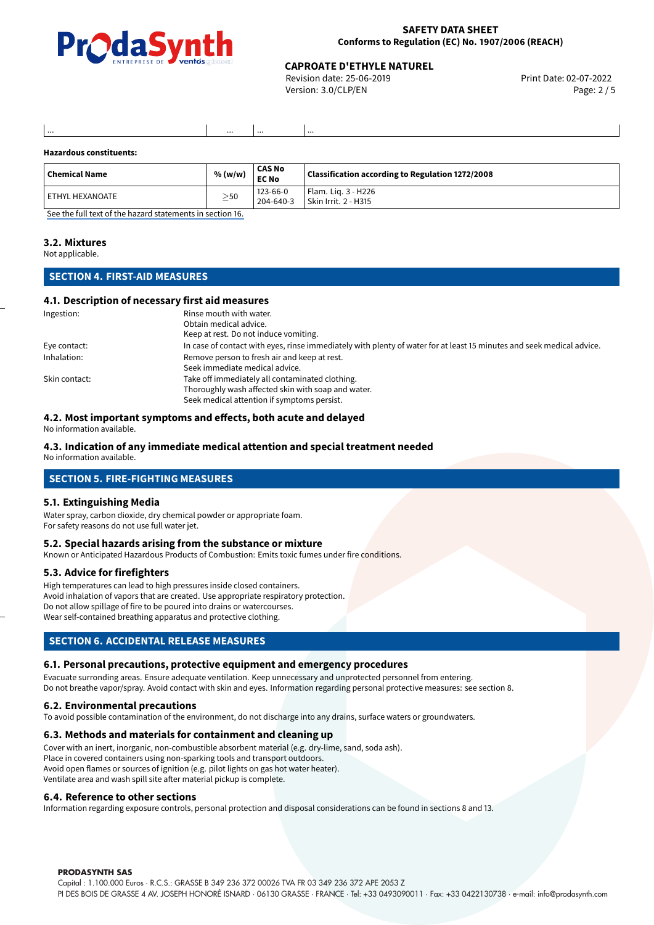

#### **SAFETY DATA SHEET Conforms to Regulation (EC) No. 1907/2006 (REACH)**

# **CAPROATE D'ETHYLE NATUREL<br>
Revision date: 25-06-2019**<br>
Print Date: 02-07-2022

Revision date: 25-06-2019 Version: 3.0/CLP/EN Page: 2 / 5

#### **Hazardous constituents:**

| Chemical Name     | % (w/w)   | <b>CAS No</b><br><b>EC No</b> | Classification according to Regulation 1272/2008 |
|-------------------|-----------|-------------------------------|--------------------------------------------------|
| l ETHYL HEXANOATE | $\geq$ 50 | $123 - 66 - 0$<br>204-640-3   | Flam. Lig. 3 - H226<br>Skin Irrit. 2 - H315      |

[See the full text of the hazard statements in section 16.](#page-4-0)

... ... ... ...

#### **3.2. Mixtures**

Not applicable.

### **SECTION 4. FIRST-AID MEASURES**

#### **4.1. Description of necessary first aid measures**

| Ingestion:    | Rinse mouth with water.                                                                                               |
|---------------|-----------------------------------------------------------------------------------------------------------------------|
|               | Obtain medical advice.                                                                                                |
|               | Keep at rest. Do not induce vomiting.                                                                                 |
| Eye contact:  | In case of contact with eyes, rinse immediately with plenty of water for at least 15 minutes and seek medical advice. |
| Inhalation:   | Remove person to fresh air and keep at rest.                                                                          |
|               | Seek immediate medical advice.                                                                                        |
| Skin contact: | Take off immediately all contaminated clothing.                                                                       |
|               | Thoroughly wash affected skin with soap and water.                                                                    |
|               | Seek medical attention if symptoms persist.                                                                           |

#### **4.2. Most important symptoms and effects, both acute and delayed**

No information available.

### **4.3. Indication of any immediate medical attention and special treatment needed**

No information available.

### **SECTION 5. FIRE-FIGHTING MEASURES**

#### **5.1. Extinguishing Media**

Water spray, carbon dioxide, dry chemical powder or appropriate foam. For safety reasons do not use full water jet.

#### **5.2. Special hazards arising from the substance or mixture**

Known or Anticipated Hazardous Products of Combustion: Emits toxic fumes under fire conditions.

#### **5.3. Advice for firefighters**

High temperatures can lead to high pressures inside closed containers. Avoid inhalation of vapors that are created. Use appropriate respiratory protection. Do not allow spillage of fire to be poured into drains or watercourses. Wear self-contained breathing apparatus and protective clothing.

# **SECTION 6. ACCIDENTAL RELEASE MEASURES**

#### **6.1. Personal precautions, protective equipment and emergency procedures**

Evacuate surronding areas. Ensure adequate ventilation. Keep unnecessary and unprotected personnel from entering. Do not breathe vapor/spray. Avoid contact with skin and eyes. Information regarding personal protective measures: see section 8.

#### **6.2. Environmental precautions**

To avoid possible contamination of the environment, do not discharge into any drains, surface waters or groundwaters.

#### **6.3. Methods and materials for containment and cleaning up**

Cover with an inert, inorganic, non-combustible absorbent material (e.g. dry-lime, sand, soda ash). Place in covered containers using non-sparking tools and transport outdoors. Avoid open flames or sources of ignition (e.g. pilot lights on gas hot water heater). Ventilate area and wash spill site after material pickup is complete.

#### **6.4. Reference to other sections**

Information regarding exposure controls, personal protection and disposal considerations can be found in sections 8 and 13.

#### **PRODASYNTH SAS**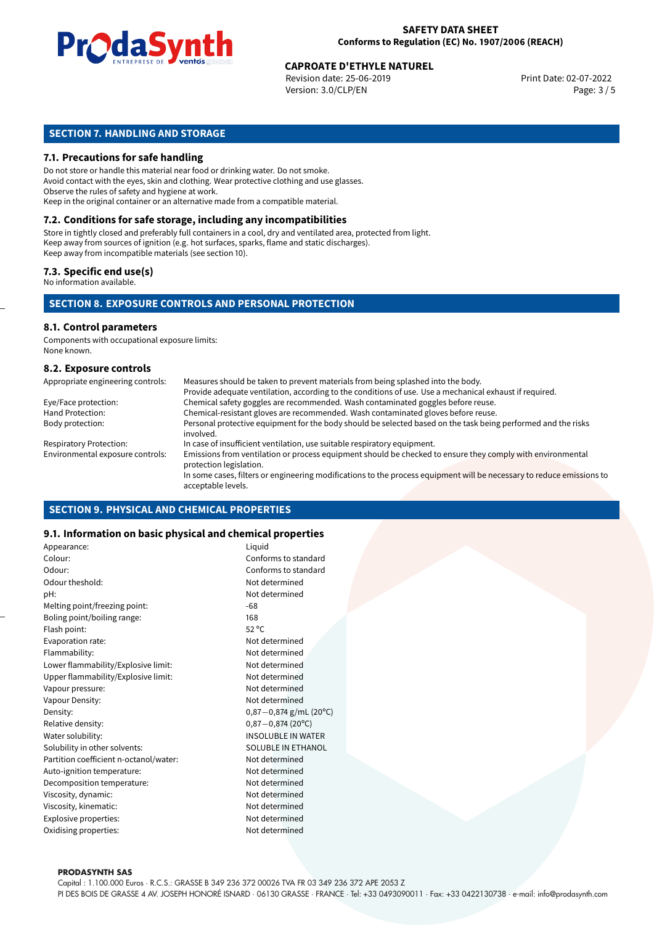

# **CAPROATE D'ETHYLE NATUREL<br>
Revision date: 25-06-2019**<br>
Print Date: 02-07-2022

Revision date: 25-06-2019 Version: 3.0/CLP/EN Page: 3 / 5

# **SECTION 7. HANDLING AND STORAGE**

#### **7.1. Precautions for safe handling**

Do not store or handle this material near food or drinking water. Do not smoke. Avoid contact with the eyes, skin and clothing. Wear protective clothing and use glasses. Observe the rules of safety and hygiene at work. Keep in the original container or an alternative made from a compatible material.

# **7.2. Conditions for safe storage, including any incompatibilities**

Store in tightly closed and preferably full containers in a cool, dry and ventilated area, protected from light. Keep away from sources of ignition (e.g. hot surfaces, sparks, flame and static discharges). Keep away from incompatible materials (see section 10).

#### **7.3. Specific end use(s)**

No information available.

### **SECTION 8. EXPOSURE CONTROLS AND PERSONAL PROTECTION**

# **8.1. Control parameters**

Components with occupational exposure limits: None known.

#### **8.2. Exposure controls**

| Appropriate engineering controls: | Measures should be taken to prevent materials from being splashed into the body.                                                            |
|-----------------------------------|---------------------------------------------------------------------------------------------------------------------------------------------|
|                                   | Provide adequate ventilation, according to the conditions of use. Use a mechanical exhaust if required.                                     |
| Eye/Face protection:              | Chemical safety goggles are recommended. Wash contaminated goggles before reuse.                                                            |
| Hand Protection:                  | Chemical-resistant gloves are recommended. Wash contaminated gloves before reuse.                                                           |
| Body protection:                  | Personal protective equipment for the body should be selected based on the task being performed and the risks<br>involved.                  |
| <b>Respiratory Protection:</b>    | In case of insufficient ventilation, use suitable respiratory equipment.                                                                    |
| Environmental exposure controls:  | Emissions from ventilation or process equipment should be checked to ensure they comply with environmental<br>protection legislation.       |
|                                   | In some cases, filters or engineering modifications to the process equipment will be necessary to reduce emissions to<br>acceptable levels. |

#### **SECTION 9. PHYSICAL AND CHEMICAL PROPERTIES**

#### **9.1. Information on basic physical and chemical properties**

| Appearance:                            | Liquid                    |
|----------------------------------------|---------------------------|
| Colour:                                | Conforms to standard      |
| Odour:                                 | Conforms to standard      |
| Odour theshold:                        | Not determined            |
| pH:                                    | Not determined            |
| Melting point/freezing point:          | -68                       |
| Boling point/boiling range:            | 168                       |
| Flash point:                           | $52^{\circ}$ C            |
| Evaporation rate:                      | Not determined            |
| Flammability:                          | Not determined            |
| Lower flammability/Explosive limit:    | Not determined            |
| Upper flammability/Explosive limit:    | Not determined            |
| Vapour pressure:                       | Not determined            |
| Vapour Density:                        | Not determined            |
| Density:                               | $0,87-0,874$ g/mL (20°C)  |
| Relative density:                      | $0,87 - 0,874$ (20°C)     |
| Water solubility:                      | <b>INSOLUBLE IN WATER</b> |
| Solubility in other solvents:          | SOLUBLE IN ETHANOL        |
| Partition coefficient n-octanol/water: | Not determined            |
| Auto-ignition temperature:             | Not determined            |
| Decomposition temperature:             | Not determined            |
| Viscosity, dynamic:                    | Not determined            |
| Viscosity, kinematic:                  | Not determined            |
| Explosive properties:                  | Not determined            |
| Oxidising properties:                  | Not determined            |
|                                        |                           |

#### **PRODASYNTH SAS**

Capital : 1.100.000 Euros · R.C.S.: GRASSE B 349 236 372 00026 TVA FR 03 349 236 372 APE 2053 Z PI DES BOIS DE GRASSE 4 AV. JOSEPH HONORÉ ISNARD · 06130 GRASSE · FRANCE · Tel: +33 0493090011 · Fax: +33 0422130738 · e-mail: info@prodasynth.com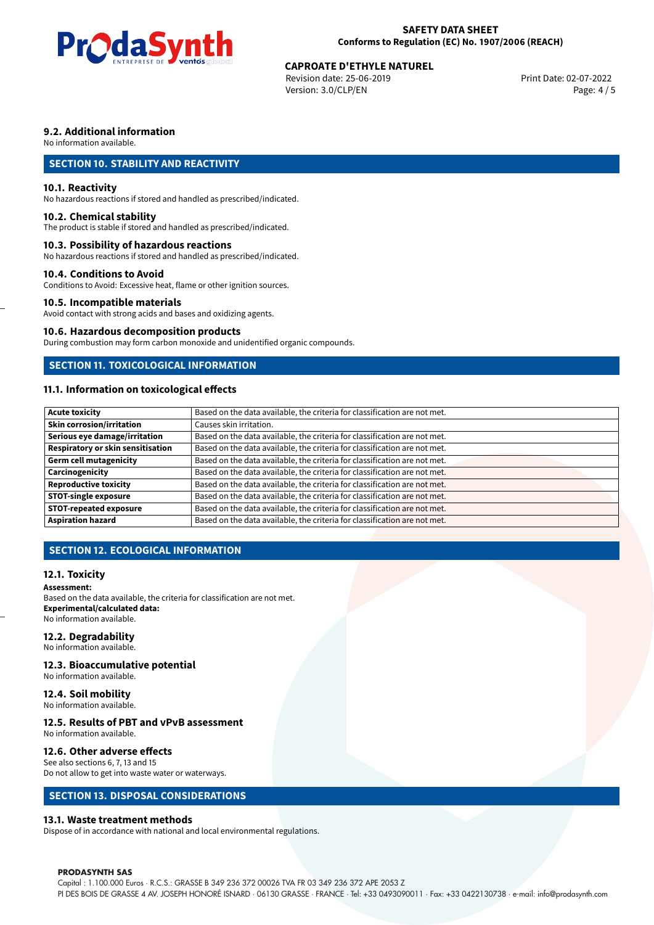

# **CAPROATE D'ETHYLE NATUREL<br>
Revision date: 25-06-2019**<br>
Print Date: 02-07-2022

Revision date: 25-06-2019 Version: 3.0/CLP/EN Page: 4 / 5

# **9.2. Additional information**

No information available.

# **SECTION 10. STABILITY AND REACTIVITY**

#### **10.1. Reactivity**

No hazardous reactions if stored and handled as prescribed/indicated.

#### **10.2. Chemical stability**

The product is stable if stored and handled as prescribed/indicated.

#### **10.3. Possibility of hazardous reactions**

No hazardous reactions if stored and handled as prescribed/indicated.

#### **10.4. Conditions to Avoid**

Conditions to Avoid: Excessive heat, flame or other ignition sources.

#### **10.5. Incompatible materials**

Avoid contact with strong acids and bases and oxidizing agents.

#### **10.6. Hazardous decomposition products**

During combustion may form carbon monoxide and unidentified organic compounds.

### **SECTION 11. TOXICOLOGICAL INFORMATION**

# **11.1. Information on toxicological effects**

| <b>Acute toxicity</b>             | Based on the data available, the criteria for classification are not met. |
|-----------------------------------|---------------------------------------------------------------------------|
| Skin corrosion/irritation         | Causes skin irritation.                                                   |
| Serious eye damage/irritation     | Based on the data available, the criteria for classification are not met. |
| Respiratory or skin sensitisation | Based on the data available, the criteria for classification are not met. |
| Germ cell mutagenicity            | Based on the data available, the criteria for classification are not met. |
| Carcinogenicity                   | Based on the data available, the criteria for classification are not met. |
| <b>Reproductive toxicity</b>      | Based on the data available, the criteria for classification are not met. |
| <b>STOT-single exposure</b>       | Based on the data available, the criteria for classification are not met. |
| <b>STOT-repeated exposure</b>     | Based on the data available, the criteria for classification are not met. |
| <b>Aspiration hazard</b>          | Based on the data available, the criteria for classification are not met. |

# **SECTION 12. ECOLOGICAL INFORMATION**

#### **12.1. Toxicity**

#### **Assessment:**

Based on the data available, the criteria for classification are not met. **Experimental/calculated data:** No information available.

#### **12.2. Degradability**

No information available.

#### **12.3. Bioaccumulative potential**

No information available.

# **12.4. Soil mobility**

No information available.

# **12.5. Results of PBT and vPvB assessment**

No information available.

#### **12.6. Other adverse effects**

See also sections 6, 7, 13 and 15 Do not allow to get into waste water or waterways.

# **SECTION 13. DISPOSAL CONSIDERATIONS**

#### **13.1. Waste treatment methods**

Dispose of in accordance with national and local environmental regulations.

#### **PRODASYNTH SAS**

Capital : 1.100.000 Euros · R.C.S.: GRASSE B 349 236 372 00026 TVA FR 03 349 236 372 APE 2053 Z PI DES BOIS DE GRASSE 4 AV. JOSEPH HONORÉ ISNARD · 06130 GRASSE · FRANCE · Tel: +33 0493090011 · Fax: +33 0422130738 · e-mail: info@prodasynth.com